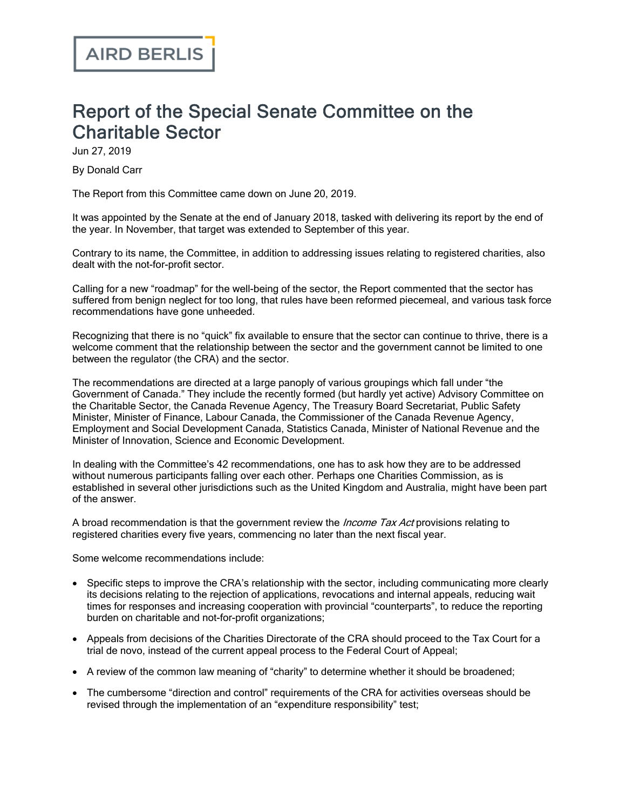## Report of the Special Senate Committee on the Charitable Sector

Jun 27, 2019

By Donald Carr

The Report from this Committee came down on June 20, 2019.

It was appointed by the Senate at the end of January 2018, tasked with delivering its report by the end of the year. In November, that target was extended to September of this year.

Contrary to its name, the Committee, in addition to addressing issues relating to registered charities, also dealt with the not-for-profit sector.

Calling for a new "roadmap" for the well-being of the sector, the Report commented that the sector has suffered from benign neglect for too long, that rules have been reformed piecemeal, and various task force recommendations have gone unheeded.

Recognizing that there is no "quick" fix available to ensure that the sector can continue to thrive, there is a welcome comment that the relationship between the sector and the government cannot be limited to one between the regulator (the CRA) and the sector.

The recommendations are directed at a large panoply of various groupings which fall under "the Government of Canada." They include the recently formed (but hardly yet active) Advisory Committee on the Charitable Sector, the Canada Revenue Agency, The Treasury Board Secretariat, Public Safety Minister, Minister of Finance, Labour Canada, the Commissioner of the Canada Revenue Agency, Employment and Social Development Canada, Statistics Canada, Minister of National Revenue and the Minister of Innovation, Science and Economic Development.

In dealing with the Committee's 42 recommendations, one has to ask how they are to be addressed without numerous participants falling over each other. Perhaps one Charities Commission, as is established in several other jurisdictions such as the United Kingdom and Australia, might have been part of the answer.

A broad recommendation is that the government review the *Income Tax Act* provisions relating to registered charities every five years, commencing no later than the next fiscal year.

Some welcome recommendations include:

- · Specific steps to improve the CRA's relationship with the sector, including communicating more clearly its decisions relating to the rejection of applications, revocations and internal appeals, reducing wait times for responses and increasing cooperation with provincial "counterparts", to reduce the reporting burden on charitable and not-for-profit organizations;
- · Appeals from decisions of the Charities Directorate of the CRA should proceed to the Tax Court for a trial de novo, instead of the current appeal process to the Federal Court of Appeal;
- · A review of the common law meaning of "charity" to determine whether it should be broadened;
- · The cumbersome "direction and control" requirements of the CRA for activities overseas should be revised through the implementation of an "expenditure responsibility" test;